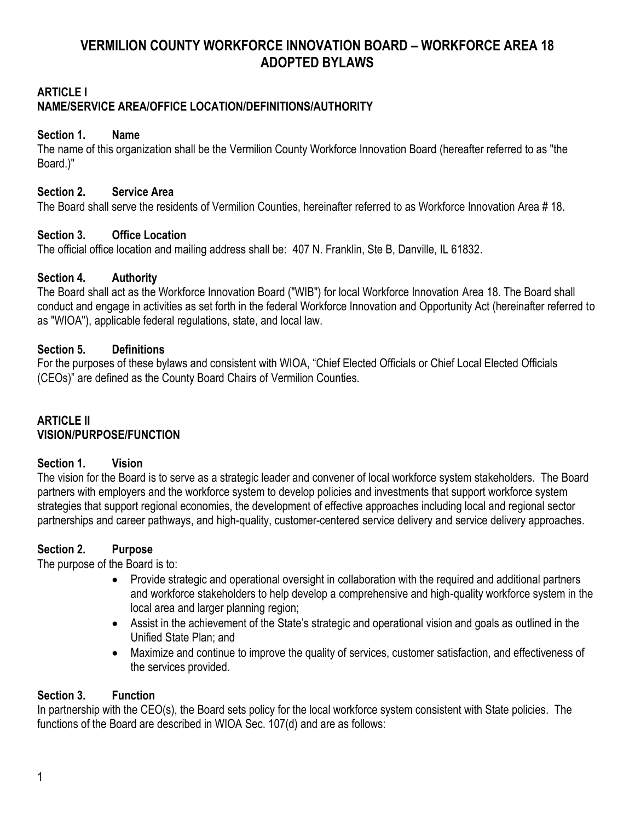# **VERMILION COUNTY WORKFORCE INNOVATION BOARD – WORKFORCE AREA 18 ADOPTED BYLAWS**

## **ARTICLE I**

## **NAME/SERVICE AREA/OFFICE LOCATION/DEFINITIONS/AUTHORITY**

#### **Section 1. Name**

The name of this organization shall be the Vermilion County Workforce Innovation Board (hereafter referred to as "the Board.)"

### **Section 2. Service Area**

The Board shall serve the residents of Vermilion Counties, hereinafter referred to as Workforce Innovation Area # 18.

### **Section 3. Office Location**

The official office location and mailing address shall be: 407 N. Franklin, Ste B, Danville, IL 61832.

### **Section 4. Authority**

The Board shall act as the Workforce Innovation Board ("WIB") for local Workforce Innovation Area 18. The Board shall conduct and engage in activities as set forth in the federal Workforce Innovation and Opportunity Act (hereinafter referred to as "WIOA"), applicable federal regulations, state, and local law.

### **Section 5. Definitions**

For the purposes of these bylaws and consistent with WIOA, "Chief Elected Officials or Chief Local Elected Officials (CEOs)" are defined as the County Board Chairs of Vermilion Counties.

### **ARTICLE II VISION/PURPOSE/FUNCTION**

## **Section 1. Vision**

The vision for the Board is to serve as a strategic leader and convener of local workforce system stakeholders. The Board partners with employers and the workforce system to develop policies and investments that support workforce system strategies that support regional economies, the development of effective approaches including local and regional sector partnerships and career pathways, and high-quality, customer-centered service delivery and service delivery approaches.

## **Section 2. Purpose**

The purpose of the Board is to:

- Provide strategic and operational oversight in collaboration with the required and additional partners and workforce stakeholders to help develop a comprehensive and high-quality workforce system in the local area and larger planning region;
- Assist in the achievement of the State's strategic and operational vision and goals as outlined in the Unified State Plan; and
- Maximize and continue to improve the quality of services, customer satisfaction, and effectiveness of the services provided.

## **Section 3. Function**

In partnership with the CEO(s), the Board sets policy for the local workforce system consistent with State policies. The functions of the Board are described in WIOA Sec. 107(d) and are as follows: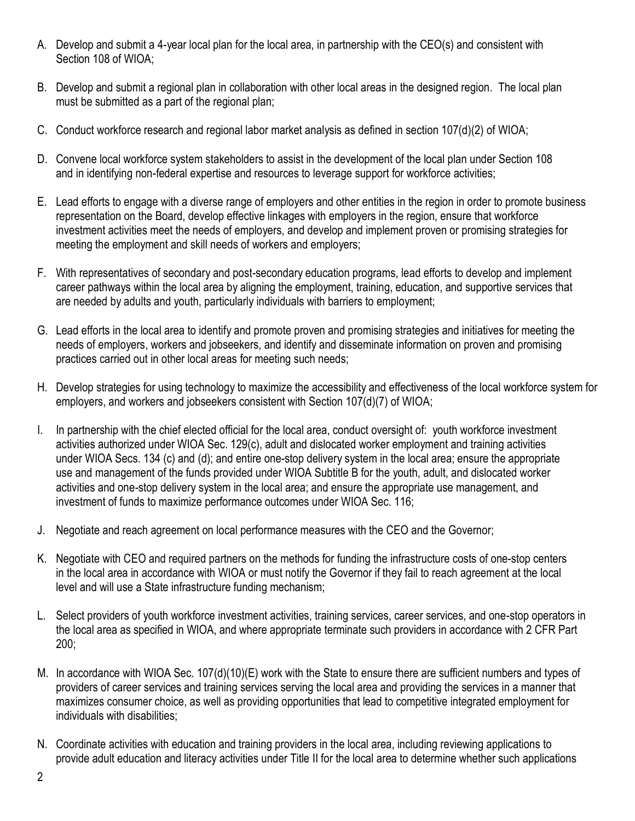- A. Develop and submit a 4-year local plan for the local area, in partnership with the CEO(s) and consistent with Section 108 of WIOA;
- B. Develop and submit a regional plan in collaboration with other local areas in the designed region. The local plan must be submitted as a part of the regional plan;
- C. Conduct workforce research and regional labor market analysis as defined in section 107(d)(2) of WIOA;
- D. Convene local workforce system stakeholders to assist in the development of the local plan under Section 108 and in identifying non-federal expertise and resources to leverage support for workforce activities;
- E. Lead efforts to engage with a diverse range of employers and other entities in the region in order to promote business representation on the Board, develop effective linkages with employers in the region, ensure that workforce investment activities meet the needs of employers, and develop and implement proven or promising strategies for meeting the employment and skill needs of workers and employers;
- F. With representatives of secondary and post-secondary education programs, lead efforts to develop and implement career pathways within the local area by aligning the employment, training, education, and supportive services that are needed by adults and youth, particularly individuals with barriers to employment;
- G. Lead efforts in the local area to identify and promote proven and promising strategies and initiatives for meeting the needs of employers, workers and jobseekers, and identify and disseminate information on proven and promising practices carried out in other local areas for meeting such needs;
- H. Develop strategies for using technology to maximize the accessibility and effectiveness of the local workforce system for employers, and workers and jobseekers consistent with Section 107(d)(7) of WIOA;
- I. In partnership with the chief elected official for the local area, conduct oversight of: youth workforce investment activities authorized under WIOA Sec. 129(c), adult and dislocated worker employment and training activities under WIOA Secs. 134 (c) and (d); and entire one-stop delivery system in the local area; ensure the appropriate use and management of the funds provided under WIOA Subtitle B for the youth, adult, and dislocated worker activities and one-stop delivery system in the local area; and ensure the appropriate use management, and investment of funds to maximize performance outcomes under WIOA Sec. 116;
- J. Negotiate and reach agreement on local performance measures with the CEO and the Governor;
- K. Negotiate with CEO and required partners on the methods for funding the infrastructure costs of one-stop centers in the local area in accordance with WIOA or must notify the Governor if they fail to reach agreement at the local level and will use a State infrastructure funding mechanism;
- L. Select providers of youth workforce investment activities, training services, career services, and one-stop operators in the local area as specified in WIOA, and where appropriate terminate such providers in accordance with 2 CFR Part 200;
- M. In accordance with WIOA Sec. 107(d)(10)(E) work with the State to ensure there are sufficient numbers and types of providers of career services and training services serving the local area and providing the services in a manner that maximizes consumer choice, as well as providing opportunities that lead to competitive integrated employment for individuals with disabilities;
- N. Coordinate activities with education and training providers in the local area, including reviewing applications to provide adult education and literacy activities under Title II for the local area to determine whether such applications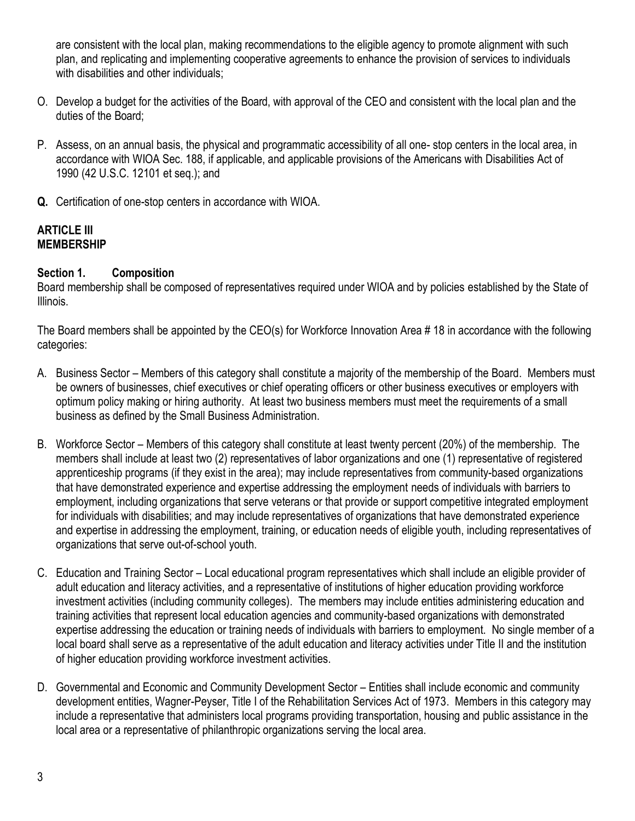are consistent with the local plan, making recommendations to the eligible agency to promote alignment with such plan, and replicating and implementing cooperative agreements to enhance the provision of services to individuals with disabilities and other individuals;

- O. Develop a budget for the activities of the Board, with approval of the CEO and consistent with the local plan and the duties of the Board;
- P. Assess, on an annual basis, the physical and programmatic accessibility of all one- stop centers in the local area, in accordance with WIOA Sec. 188, if applicable, and applicable provisions of the Americans with Disabilities Act of 1990 (42 U.S.C. 12101 et seq.); and
- **Q.** Certification of one-stop centers in accordance with WIOA.

### **ARTICLE III MEMBERSHIP**

## **Section 1. Composition**

Board membership shall be composed of representatives required under WIOA and by policies established by the State of Illinois.

The Board members shall be appointed by the CEO(s) for Workforce Innovation Area # 18 in accordance with the following categories:

- A. Business Sector Members of this category shall constitute a majority of the membership of the Board. Members must be owners of businesses, chief executives or chief operating officers or other business executives or employers with optimum policy making or hiring authority. At least two business members must meet the requirements of a small business as defined by the Small Business Administration.
- B. Workforce Sector Members of this category shall constitute at least twenty percent (20%) of the membership. The members shall include at least two (2) representatives of labor organizations and one (1) representative of registered apprenticeship programs (if they exist in the area); may include representatives from community-based organizations that have demonstrated experience and expertise addressing the employment needs of individuals with barriers to employment, including organizations that serve veterans or that provide or support competitive integrated employment for individuals with disabilities; and may include representatives of organizations that have demonstrated experience and expertise in addressing the employment, training, or education needs of eligible youth, including representatives of organizations that serve out-of-school youth.
- C. Education and Training Sector Local educational program representatives which shall include an eligible provider of adult education and literacy activities, and a representative of institutions of higher education providing workforce investment activities (including community colleges). The members may include entities administering education and training activities that represent local education agencies and community-based organizations with demonstrated expertise addressing the education or training needs of individuals with barriers to employment. No single member of a local board shall serve as a representative of the adult education and literacy activities under Title II and the institution of higher education providing workforce investment activities.
- D. Governmental and Economic and Community Development Sector Entities shall include economic and community development entities, Wagner-Peyser, Title I of the Rehabilitation Services Act of 1973. Members in this category may include a representative that administers local programs providing transportation, housing and public assistance in the local area or a representative of philanthropic organizations serving the local area.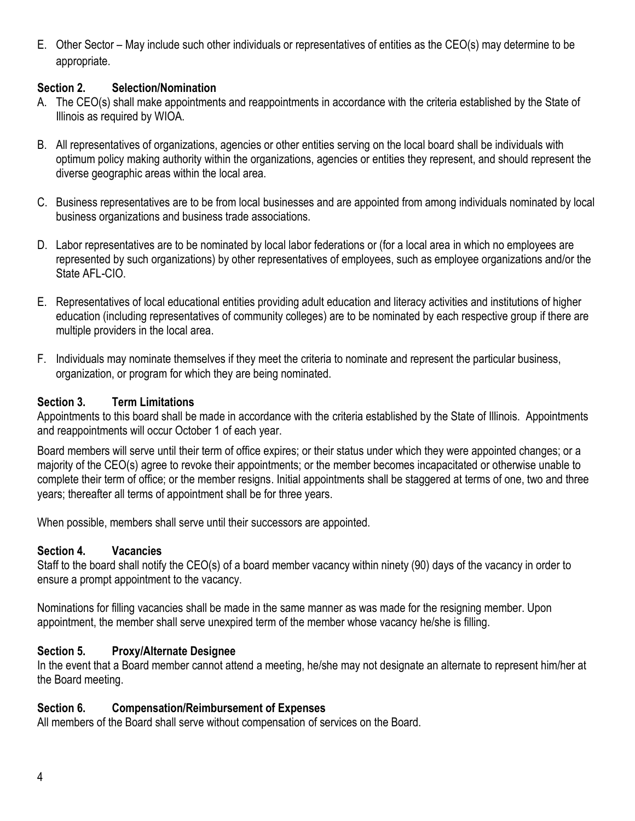E. Other Sector – May include such other individuals or representatives of entities as the CEO(s) may determine to be appropriate.

### **Section 2. Selection/Nomination**

- A. The CEO(s) shall make appointments and reappointments in accordance with the criteria established by the State of Illinois as required by WIOA.
- B. All representatives of organizations, agencies or other entities serving on the local board shall be individuals with optimum policy making authority within the organizations, agencies or entities they represent, and should represent the diverse geographic areas within the local area.
- C. Business representatives are to be from local businesses and are appointed from among individuals nominated by local business organizations and business trade associations.
- D. Labor representatives are to be nominated by local labor federations or (for a local area in which no employees are represented by such organizations) by other representatives of employees, such as employee organizations and/or the State AFL-CIO.
- E. Representatives of local educational entities providing adult education and literacy activities and institutions of higher education (including representatives of community colleges) are to be nominated by each respective group if there are multiple providers in the local area.
- F. Individuals may nominate themselves if they meet the criteria to nominate and represent the particular business, organization, or program for which they are being nominated.

### **Section 3. Term Limitations**

Appointments to this board shall be made in accordance with the criteria established by the State of Illinois. Appointments and reappointments will occur October 1 of each year.

Board members will serve until their term of office expires; or their status under which they were appointed changes; or a majority of the CEO(s) agree to revoke their appointments; or the member becomes incapacitated or otherwise unable to complete their term of office; or the member resigns. Initial appointments shall be staggered at terms of one, two and three years; thereafter all terms of appointment shall be for three years.

When possible, members shall serve until their successors are appointed.

## **Section 4. Vacancies**

Staff to the board shall notify the CEO(s) of a board member vacancy within ninety (90) days of the vacancy in order to ensure a prompt appointment to the vacancy.

Nominations for filling vacancies shall be made in the same manner as was made for the resigning member. Upon appointment, the member shall serve unexpired term of the member whose vacancy he/she is filling.

## **Section 5. Proxy/Alternate Designee**

In the event that a Board member cannot attend a meeting, he/she may not designate an alternate to represent him/her at the Board meeting.

#### **Section 6. Compensation/Reimbursement of Expenses**

All members of the Board shall serve without compensation of services on the Board.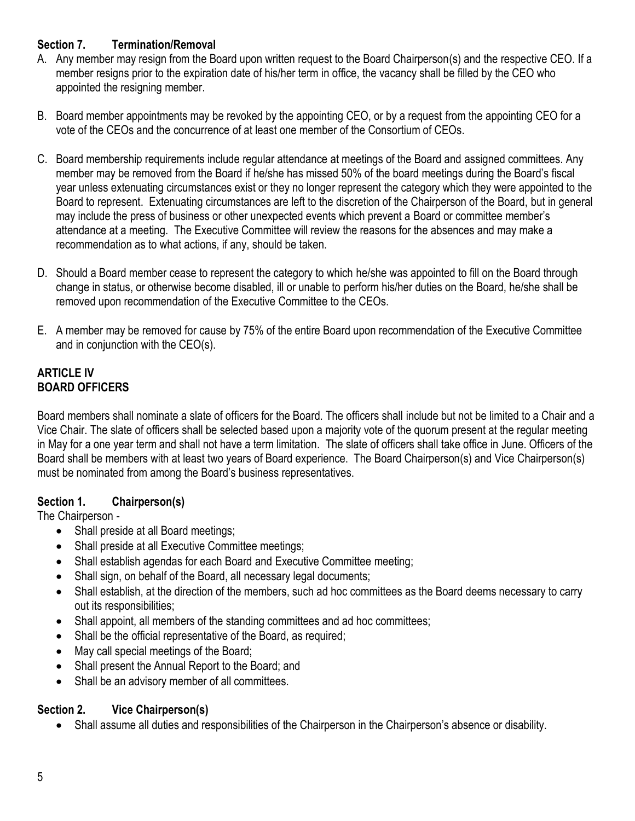# **Section 7. Termination/Removal**

- A. Any member may resign from the Board upon written request to the Board Chairperson(s) and the respective CEO. If a member resigns prior to the expiration date of his/her term in office, the vacancy shall be filled by the CEO who appointed the resigning member.
- B. Board member appointments may be revoked by the appointing CEO, or by a request from the appointing CEO for a vote of the CEOs and the concurrence of at least one member of the Consortium of CEOs.
- C. Board membership requirements include regular attendance at meetings of the Board and assigned committees. Any member may be removed from the Board if he/she has missed 50% of the board meetings during the Board's fiscal year unless extenuating circumstances exist or they no longer represent the category which they were appointed to the Board to represent. Extenuating circumstances are left to the discretion of the Chairperson of the Board, but in general may include the press of business or other unexpected events which prevent a Board or committee member's attendance at a meeting. The Executive Committee will review the reasons for the absences and may make a recommendation as to what actions, if any, should be taken.
- D. Should a Board member cease to represent the category to which he/she was appointed to fill on the Board through change in status, or otherwise become disabled, ill or unable to perform his/her duties on the Board, he/she shall be removed upon recommendation of the Executive Committee to the CEOs.
- E. A member may be removed for cause by 75% of the entire Board upon recommendation of the Executive Committee and in conjunction with the CEO(s).

## **ARTICLE IV BOARD OFFICERS**

Board members shall nominate a slate of officers for the Board. The officers shall include but not be limited to a Chair and a Vice Chair. The slate of officers shall be selected based upon a majority vote of the quorum present at the regular meeting in May for a one year term and shall not have a term limitation. The slate of officers shall take office in June. Officers of the Board shall be members with at least two years of Board experience. The Board Chairperson(s) and Vice Chairperson(s) must be nominated from among the Board's business representatives.

# **Section 1. Chairperson(s)**

The Chairperson -

- Shall preside at all Board meetings;
- Shall preside at all Executive Committee meetings;
- Shall establish agendas for each Board and Executive Committee meeting;
- Shall sign, on behalf of the Board, all necessary legal documents;
- Shall establish, at the direction of the members, such ad hoc committees as the Board deems necessary to carry out its responsibilities;
- Shall appoint, all members of the standing committees and ad hoc committees;
- Shall be the official representative of the Board, as required;
- May call special meetings of the Board;
- Shall present the Annual Report to the Board; and
- Shall be an advisory member of all committees.

# **Section 2. Vice Chairperson(s)**

• Shall assume all duties and responsibilities of the Chairperson in the Chairperson's absence or disability.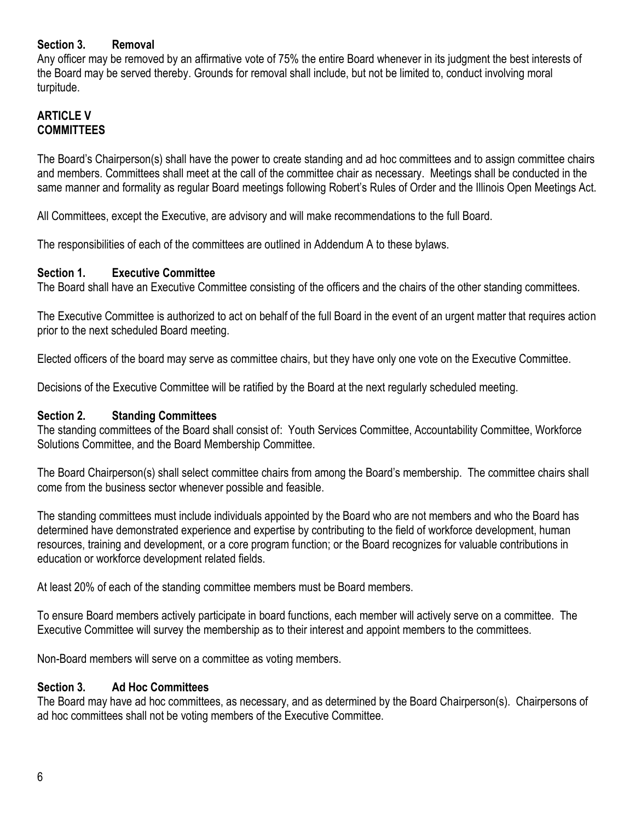#### **Section 3. Removal**

Any officer may be removed by an affirmative vote of 75% the entire Board whenever in its judgment the best interests of the Board may be served thereby. Grounds for removal shall include, but not be limited to, conduct involving moral turpitude.

#### **ARTICLE V COMMITTEES**

The Board's Chairperson(s) shall have the power to create standing and ad hoc committees and to assign committee chairs and members. Committees shall meet at the call of the committee chair as necessary. Meetings shall be conducted in the same manner and formality as regular Board meetings following Robert's Rules of Order and the Illinois Open Meetings Act.

All Committees, except the Executive, are advisory and will make recommendations to the full Board.

The responsibilities of each of the committees are outlined in Addendum A to these bylaws.

#### **Section 1. Executive Committee**

The Board shall have an Executive Committee consisting of the officers and the chairs of the other standing committees.

The Executive Committee is authorized to act on behalf of the full Board in the event of an urgent matter that requires action prior to the next scheduled Board meeting.

Elected officers of the board may serve as committee chairs, but they have only one vote on the Executive Committee.

Decisions of the Executive Committee will be ratified by the Board at the next regularly scheduled meeting.

#### **Section 2. Standing Committees**

The standing committees of the Board shall consist of: Youth Services Committee, Accountability Committee, Workforce Solutions Committee, and the Board Membership Committee.

The Board Chairperson(s) shall select committee chairs from among the Board's membership. The committee chairs shall come from the business sector whenever possible and feasible.

The standing committees must include individuals appointed by the Board who are not members and who the Board has determined have demonstrated experience and expertise by contributing to the field of workforce development, human resources, training and development, or a core program function; or the Board recognizes for valuable contributions in education or workforce development related fields.

At least 20% of each of the standing committee members must be Board members.

To ensure Board members actively participate in board functions, each member will actively serve on a committee. The Executive Committee will survey the membership as to their interest and appoint members to the committees.

Non-Board members will serve on a committee as voting members.

#### **Section 3. Ad Hoc Committees**

The Board may have ad hoc committees, as necessary, and as determined by the Board Chairperson(s). Chairpersons of ad hoc committees shall not be voting members of the Executive Committee.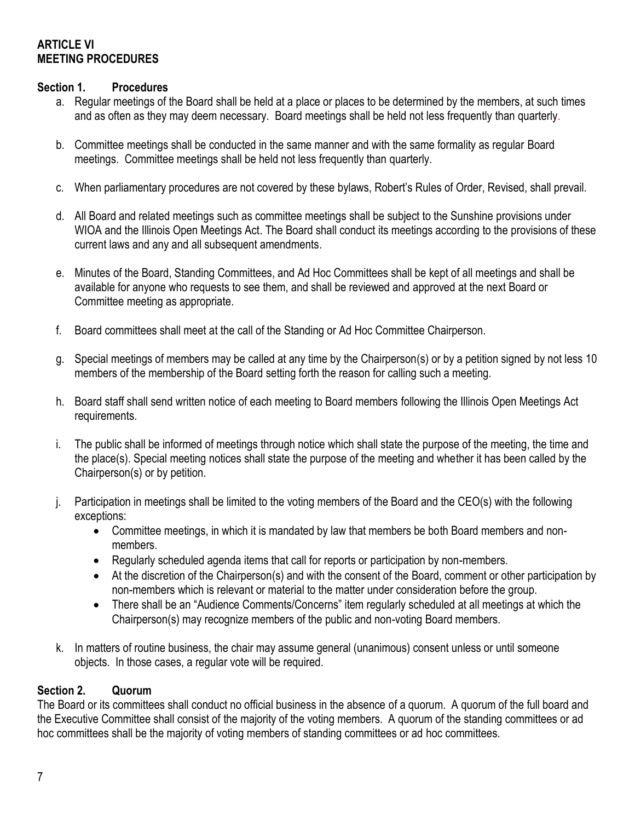## **ARTICLE VI MEETING PROCEDURES**

### **Section 1. Procedures**

- a. Regular meetings of the Board shall be held at a place or places to be determined by the members, at such times and as often as they may deem necessary. Board meetings shall be held not less frequently than quarterly.
- b. Committee meetings shall be conducted in the same manner and with the same formality as regular Board meetings. Committee meetings shall be held not less frequently than quarterly.
- c. When parliamentary procedures are not covered by these bylaws, Robert's Rules of Order, Revised, shall prevail.
- d. All Board and related meetings such as committee meetings shall be subject to the Sunshine provisions under WIOA and the Illinois Open Meetings Act. The Board shall conduct its meetings according to the provisions of these current laws and any and all subsequent amendments.
- e. Minutes of the Board, Standing Committees, and Ad Hoc Committees shall be kept of all meetings and shall be available for anyone who requests to see them, and shall be reviewed and approved at the next Board or Committee meeting as appropriate.
- f. Board committees shall meet at the call of the Standing or Ad Hoc Committee Chairperson.
- g. Special meetings of members may be called at any time by the Chairperson(s) or by a petition signed by not less 10 members of the membership of the Board setting forth the reason for calling such a meeting.
- h. Board staff shall send written notice of each meeting to Board members following the Illinois Open Meetings Act requirements.
- i. The public shall be informed of meetings through notice which shall state the purpose of the meeting, the time and the place(s). Special meeting notices shall state the purpose of the meeting and whether it has been called by the Chairperson(s) or by petition.
- j. Participation in meetings shall be limited to the voting members of the Board and the CEO(s) with the following exceptions:
	- Committee meetings, in which it is mandated by law that members be both Board members and nonmembers.
	- Regularly scheduled agenda items that call for reports or participation by non-members.
	- At the discretion of the Chairperson(s) and with the consent of the Board, comment or other participation by non-members which is relevant or material to the matter under consideration before the group.
	- There shall be an "Audience Comments/Concerns" item regularly scheduled at all meetings at which the Chairperson(s) may recognize members of the public and non-voting Board members.
- k. In matters of routine business, the chair may assume general (unanimous) consent unless or until someone objects. In those cases, a regular vote will be required.

## **Section 2. Quorum**

The Board or its committees shall conduct no official business in the absence of a quorum. A quorum of the full board and the Executive Committee shall consist of the majority of the voting members. A quorum of the standing committees or ad hoc committees shall be the majority of voting members of standing committees or ad hoc committees.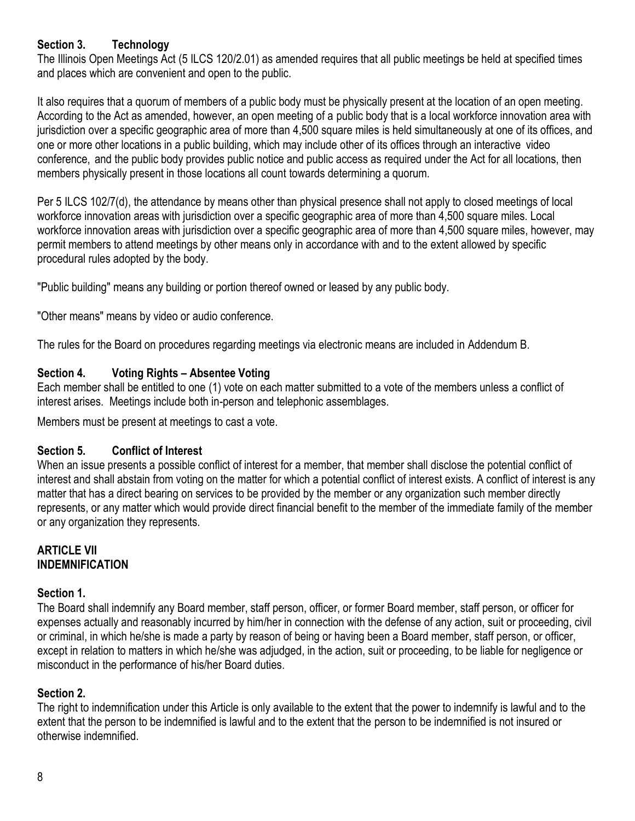## **Section 3. Technology**

The Illinois Open Meetings Act (5 ILCS 120/2.01) as amended requires that all public meetings be held at specified times and places which are convenient and open to the public.

It also requires that a quorum of members of a public body must be physically present at the location of an open meeting. According to the Act as amended, however, an open meeting of a public body that is a local workforce innovation area with jurisdiction over a specific geographic area of more than 4,500 square miles is held simultaneously at one of its offices, and one or more other locations in a public building, which may include other of its offices through an interactive video conference, and the public body provides public notice and public access as required under the Act for all locations, then members physically present in those locations all count towards determining a quorum.

Per 5 ILCS 102/7(d), the attendance by means other than physical presence shall not apply to closed meetings of local workforce innovation areas with jurisdiction over a specific geographic area of more than 4,500 square miles. Local workforce innovation areas with jurisdiction over a specific geographic area of more than 4,500 square miles, however, may permit members to attend meetings by other means only in accordance with and to the extent allowed by specific procedural rules adopted by the body.

"Public building" means any building or portion thereof owned or leased by any public body.

"Other means" means by video or audio conference.

The rules for the Board on procedures regarding meetings via electronic means are included in Addendum B.

## **Section 4. Voting Rights – Absentee Voting**

Each member shall be entitled to one (1) vote on each matter submitted to a vote of the members unless a conflict of interest arises. Meetings include both in-person and telephonic assemblages.

Members must be present at meetings to cast a vote.

## **Section 5. Conflict of Interest**

When an issue presents a possible conflict of interest for a member, that member shall disclose the potential conflict of interest and shall abstain from voting on the matter for which a potential conflict of interest exists. A conflict of interest is any matter that has a direct bearing on services to be provided by the member or any organization such member directly represents, or any matter which would provide direct financial benefit to the member of the immediate family of the member or any organization they represents.

### **ARTICLE VII INDEMNIFICATION**

## **Section 1.**

The Board shall indemnify any Board member, staff person, officer, or former Board member, staff person, or officer for expenses actually and reasonably incurred by him/her in connection with the defense of any action, suit or proceeding, civil or criminal, in which he/she is made a party by reason of being or having been a Board member, staff person, or officer, except in relation to matters in which he/she was adjudged, in the action, suit or proceeding, to be liable for negligence or misconduct in the performance of his/her Board duties.

## **Section 2.**

The right to indemnification under this Article is only available to the extent that the power to indemnify is lawful and to the extent that the person to be indemnified is lawful and to the extent that the person to be indemnified is not insured or otherwise indemnified.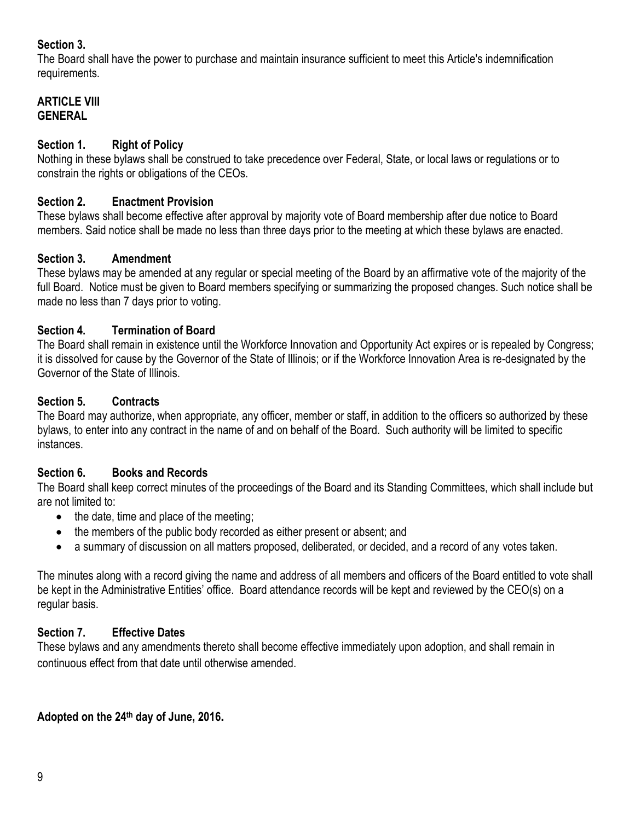## **Section 3.**

The Board shall have the power to purchase and maintain insurance sufficient to meet this Article's indemnification requirements.

## **ARTICLE VIII GENERAL**

# **Section 1. Right of Policy**

Nothing in these bylaws shall be construed to take precedence over Federal, State, or local laws or regulations or to constrain the rights or obligations of the CEOs.

## **Section 2. Enactment Provision**

These bylaws shall become effective after approval by majority vote of Board membership after due notice to Board members. Said notice shall be made no less than three days prior to the meeting at which these bylaws are enacted.

# **Section 3. Amendment**

These bylaws may be amended at any regular or special meeting of the Board by an affirmative vote of the majority of the full Board. Notice must be given to Board members specifying or summarizing the proposed changes. Such notice shall be made no less than 7 days prior to voting.

# **Section 4. Termination of Board**

The Board shall remain in existence until the Workforce Innovation and Opportunity Act expires or is repealed by Congress; it is dissolved for cause by the Governor of the State of Illinois; or if the Workforce Innovation Area is re-designated by the Governor of the State of Illinois.

# **Section 5. Contracts**

The Board may authorize, when appropriate, any officer, member or staff, in addition to the officers so authorized by these bylaws, to enter into any contract in the name of and on behalf of the Board. Such authority will be limited to specific instances.

# **Section 6. Books and Records**

The Board shall keep correct minutes of the proceedings of the Board and its Standing Committees, which shall include but are not limited to:

- the date, time and place of the meeting;
- the members of the public body recorded as either present or absent; and
- a summary of discussion on all matters proposed, deliberated, or decided, and a record of any votes taken.

The minutes along with a record giving the name and address of all members and officers of the Board entitled to vote shall be kept in the Administrative Entities' office. Board attendance records will be kept and reviewed by the CEO(s) on a regular basis.

# **Section 7. Effective Dates**

These bylaws and any amendments thereto shall become effective immediately upon adoption, and shall remain in continuous effect from that date until otherwise amended.

**Adopted on the 24th day of June, 2016.**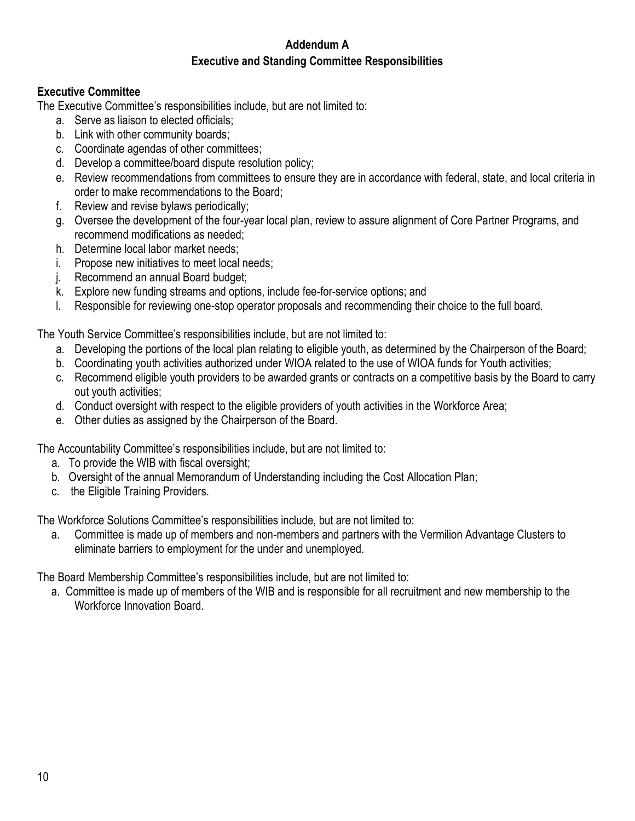## **Addendum A Executive and Standing Committee Responsibilities**

### **Executive Committee**

The Executive Committee's responsibilities include, but are not limited to:

- a. Serve as liaison to elected officials;
- b. Link with other community boards;
- c. Coordinate agendas of other committees;
- d. Develop a committee/board dispute resolution policy;
- e. Review recommendations from committees to ensure they are in accordance with federal, state, and local criteria in order to make recommendations to the Board;
- f. Review and revise bylaws periodically;
- g. Oversee the development of the four-year local plan, review to assure alignment of Core Partner Programs, and recommend modifications as needed;
- h. Determine local labor market needs;
- i. Propose new initiatives to meet local needs;
- j. Recommend an annual Board budget;
- k. Explore new funding streams and options, include fee-for-service options; and
- l. Responsible for reviewing one-stop operator proposals and recommending their choice to the full board.

The Youth Service Committee's responsibilities include, but are not limited to:

- a. Developing the portions of the local plan relating to eligible youth, as determined by the Chairperson of the Board;
- b. Coordinating youth activities authorized under WIOA related to the use of WIOA funds for Youth activities;
- c. Recommend eligible youth providers to be awarded grants or contracts on a competitive basis by the Board to carry out youth activities;
- d. Conduct oversight with respect to the eligible providers of youth activities in the Workforce Area;
- e. Other duties as assigned by the Chairperson of the Board.

The Accountability Committee's responsibilities include, but are not limited to:

- a. To provide the WIB with fiscal oversight;
- b. Oversight of the annual Memorandum of Understanding including the Cost Allocation Plan;
- c. the Eligible Training Providers.

The Workforce Solutions Committee's responsibilities include, but are not limited to:

a. Committee is made up of members and non-members and partners with the Vermilion Advantage Clusters to eliminate barriers to employment for the under and unemployed.

The Board Membership Committee's responsibilities include, but are not limited to:

a. Committee is made up of members of the WIB and is responsible for all recruitment and new membership to the Workforce Innovation Board.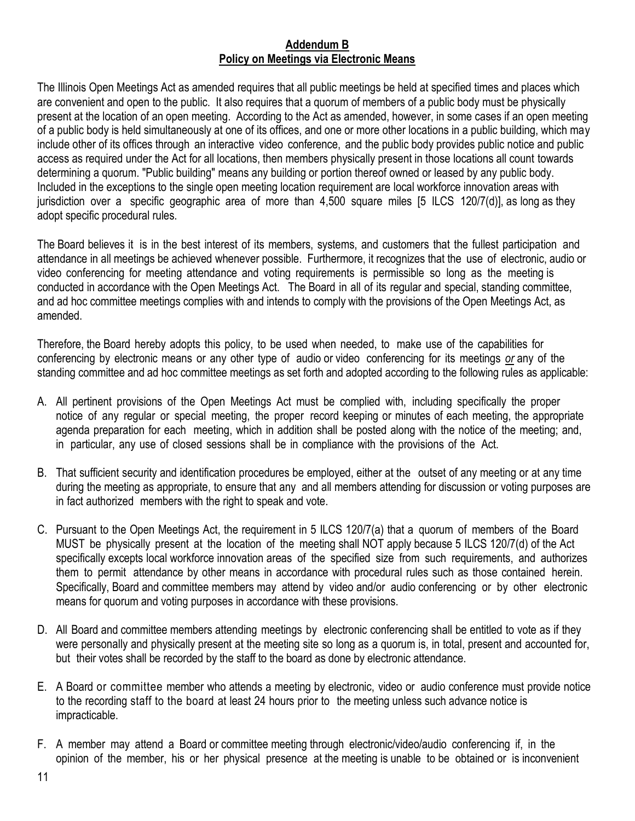#### **Addendum B Policy on Meetings via Electronic Means**

The Illinois Open Meetings Act as amended requires that all public meetings be held at specified times and places which are convenient and open to the public. It also requires that a quorum of members of a public body must be physically present at the location of an open meeting. According to the Act as amended, however, in some cases if an open meeting of a public body is held simultaneously at one of its offices, and one or more other locations in a public building, which may include other of its offices through an interactive video conference, and the public body provides public notice and public access as required under the Act for all locations, then members physically present in those locations all count towards determining a quorum. "Public building" means any building or portion thereof owned or leased by any public body. Included in the exceptions to the single open meeting location requirement are local workforce innovation areas with jurisdiction over a specific geographic area of more than 4,500 square miles [5 ILCS 120/7(d)], as long as they adopt specific procedural rules.

The Board believes it is in the best interest of its members, systems, and customers that the fullest participation and attendance in all meetings be achieved whenever possible. Furthermore, it recognizes that the use of electronic, audio or video conferencing for meeting attendance and voting requirements is permissible so long as the meeting is conducted in accordance with the Open Meetings Act. The Board in all of its regular and special, standing committee, and ad hoc committee meetings complies with and intends to comply with the provisions of the Open Meetings Act, as amended.

Therefore, the Board hereby adopts this policy, to be used when needed, to make use of the capabilities for conferencing by electronic means or any other type of audio or video conferencing for its meetings *or* any of the standing committee and ad hoc committee meetings as set forth and adopted according to the following rules as applicable:

- A. All pertinent provisions of the Open Meetings Act must be complied with, including specifically the proper notice of any regular or special meeting, the proper record keeping or minutes of each meeting, the appropriate agenda preparation for each meeting, which in addition shall be posted along with the notice of the meeting; and, in particular, any use of closed sessions shall be in compliance with the provisions of the Act.
- B. That sufficient security and identification procedures be employed, either at the outset of any meeting or at any time during the meeting as appropriate, to ensure that any and all members attending for discussion or voting purposes are in fact authorized members with the right to speak and vote.
- C. Pursuant to the Open Meetings Act, the requirement in 5 ILCS 120/7(a) that a quorum of members of the Board MUST be physically present at the location of the meeting shall NOT apply because 5 ILCS 120/7(d) of the Act specifically excepts local workforce innovation areas of the specified size from such requirements, and authorizes them to permit attendance by other means in accordance with procedural rules such as those contained herein. Specifically, Board and committee members may attend by video and/or audio conferencing or by other electronic means for quorum and voting purposes in accordance with these provisions.
- D. All Board and committee members attending meetings by electronic conferencing shall be entitled to vote as if they were personally and physically present at the meeting site so long as a quorum is, in total, present and accounted for, but their votes shall be recorded by the staff to the board as done by electronic attendance.
- E. A Board or committee member who attends a meeting by electronic, video or audio conference must provide notice to the recording staff to the board at least 24 hours prior to the meeting unless such advance notice is impracticable.
- F. A member may attend a Board or committee meeting through electronic/video/audio conferencing if, in the opinion of the member, his or her physical presence at the meeting is unable to be obtained or is inconvenient